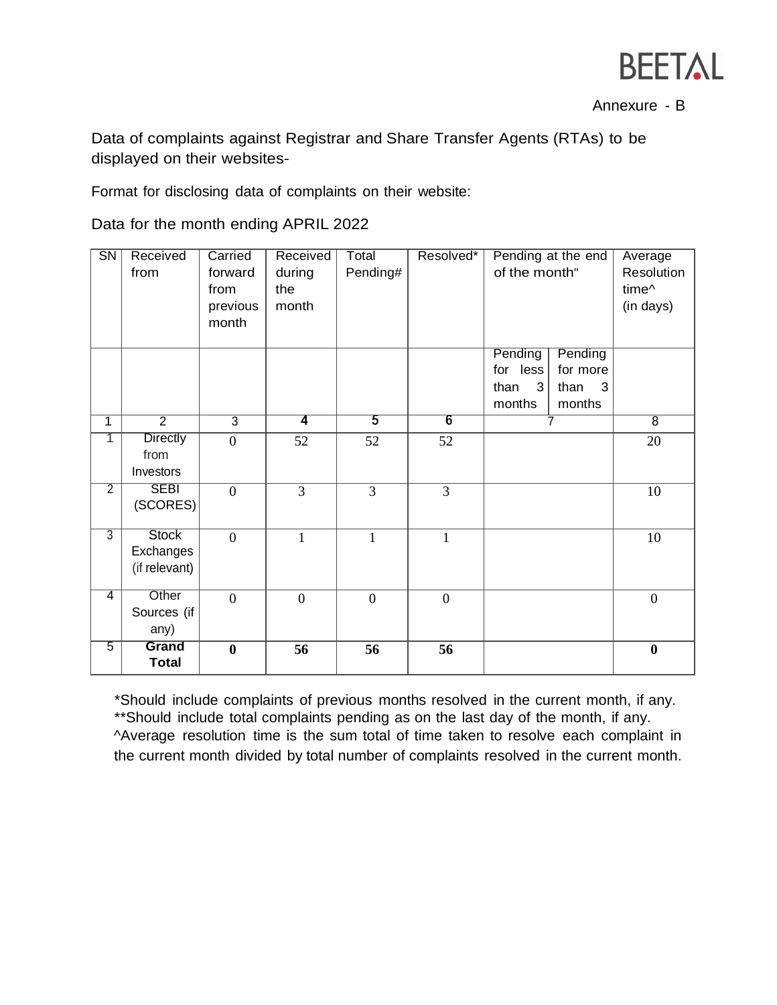

Annexure - B

Data of complaints against Registrar and Share Transfer Agents (RTAs) to be displayed on their websites-

Format for disclosing data of complaints on their website:

Data for the month ending APRIL 2022

| $\overline{\text{SN}}$  | Received<br>from | Carried<br>forward | Received<br>during | Total<br>Pending# | Resolved*        | Pending at the end<br>of the month" |           | Average<br>Resolution |
|-------------------------|------------------|--------------------|--------------------|-------------------|------------------|-------------------------------------|-----------|-----------------------|
|                         |                  | from               | the                |                   |                  |                                     |           | time <sup>^</sup>     |
|                         |                  | previous           | month              |                   |                  |                                     |           | (in days)             |
|                         |                  | month              |                    |                   |                  |                                     |           |                       |
|                         |                  |                    |                    |                   |                  | Pending                             | Pending   |                       |
|                         |                  |                    |                    |                   |                  | for less                            | for more  |                       |
|                         |                  |                    |                    |                   |                  | than<br>$\mathbf{3}$                | than<br>3 |                       |
|                         |                  |                    |                    |                   |                  | months                              | months    |                       |
| $\overline{\mathbf{1}}$ | $\overline{2}$   | $\overline{3}$     | 4                  | 5                 | 6                |                                     |           | $\overline{8}$        |
| 1                       | <b>Directly</b>  | $\overline{0}$     | 52                 | 52                | 52               |                                     |           | 20                    |
|                         | from             |                    |                    |                   |                  |                                     |           |                       |
|                         | Investors        |                    |                    |                   |                  |                                     |           |                       |
| $\overline{2}$          | <b>SEBI</b>      | $\overline{0}$     | $\overline{3}$     | $\overline{3}$    | $\overline{3}$   |                                     |           | 10                    |
|                         | (SCORES)         |                    |                    |                   |                  |                                     |           |                       |
| $\overline{3}$          | <b>Stock</b>     | $\theta$           | $\mathbf{1}$       | $\mathbf{1}$      | $\mathbf{1}$     |                                     |           | 10                    |
|                         | Exchanges        |                    |                    |                   |                  |                                     |           |                       |
|                         | (if relevant)    |                    |                    |                   |                  |                                     |           |                       |
| $\overline{4}$          | Other            | $\overline{0}$     | $\boldsymbol{0}$   | $\boldsymbol{0}$  | $\boldsymbol{0}$ |                                     |           | $\boldsymbol{0}$      |
|                         | Sources (if      |                    |                    |                   |                  |                                     |           |                       |
|                         | any)             |                    |                    |                   |                  |                                     |           |                       |
| 5                       | Grand            | $\bf{0}$           | 56                 | 56                | 56               |                                     |           | $\boldsymbol{0}$      |
|                         | <b>Total</b>     |                    |                    |                   |                  |                                     |           |                       |

\*Should include complaints of previous months resolved in the current month, if any. \*\*Should include total complaints pending as on the last day of the month, if any. ^Average resolution time is the sum total of time taken to resolve each complaint in the current month divided by total number of complaints resolved in the current month.